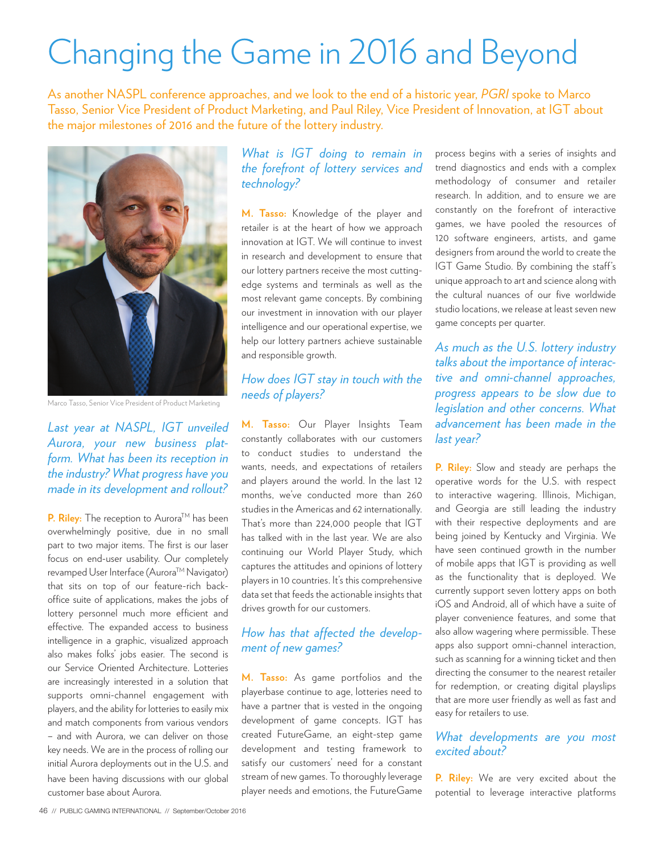# Changing the Game in 2016 and Beyond

As another NASPL conference approaches, and we look to the end of a historic year, *PGRI* spoke to Marco Tasso, Senior Vice President of Product Marketing, and Paul Riley, Vice President of Innovation, at IGT about the major milestones of 2016 and the future of the lottery industry.



Marco Tasso, Senior Vice President of Product Marketing

*Last year at NASPL, IGT unveiled Aurora, your new business platform. What has been its reception in the industry? What progress have you made in its development and rollout?*

**P. Riley:** The reception to Aurora™ has been overwhelmingly positive, due in no small part to two major items. The first is our laser focus on end-user usability. Our completely revamped User Interface (Aurora™ Navigator) that sits on top of our feature-rich backoffice suite of applications, makes the jobs of lottery personnel much more efficient and effective. The expanded access to business intelligence in a graphic, visualized approach also makes folks' jobs easier. The second is our Service Oriented Architecture. Lotteries are increasingly interested in a solution that supports omni-channel engagement with players, and the ability for lotteries to easily mix and match components from various vendors – and with Aurora, we can deliver on those key needs. We are in the process of rolling our initial Aurora deployments out in the U.S. and

have been having discussions with our global customer base about Aurora.

## *What is IGT doing to remain in the forefront of lottery services and technology?*

**M. Tasso:** Knowledge of the player and retailer is at the heart of how we approach innovation at IGT. We will continue to invest in research and development to ensure that our lottery partners receive the most cuttingedge systems and terminals as well as the most relevant game concepts. By combining our investment in innovation with our player intelligence and our operational expertise, we help our lottery partners achieve sustainable and responsible growth.

## *How does IGT stay in touch with the needs of players?*

**M. Tasso:** Our Player Insights Team constantly collaborates with our customers to conduct studies to understand the wants, needs, and expectations of retailers and players around the world. In the last 12 months, we've conducted more than 260 studies in the Americas and 62 internationally. That's more than 224,000 people that IGT has talked with in the last year. We are also continuing our World Player Study, which captures the attitudes and opinions of lottery players in 10 countries. It's this comprehensive data set that feeds the actionable insights that drives growth for our customers.

## *How has that affected the development of new games?*

**M. Tasso:** As game portfolios and the playerbase continue to age, lotteries need to have a partner that is vested in the ongoing development of game concepts. IGT has created FutureGame, an eight-step game development and testing framework to satisfy our customers' need for a constant stream of new games. To thoroughly leverage player needs and emotions, the FutureGame

process begins with a series of insights and trend diagnostics and ends with a complex methodology of consumer and retailer research. In addition, and to ensure we are constantly on the forefront of interactive games, we have pooled the resources of 120 software engineers, artists, and game designers from around the world to create the IGT Game Studio. By combining the staff's unique approach to art and science along with the cultural nuances of our five worldwide studio locations, we release at least seven new game concepts per quarter.

*As much as the U.S. lottery industry talks about the importance of interactive and omni-channel approaches, progress appears to be slow due to legislation and other concerns. What advancement has been made in the last year?* 

**P. Riley:** Slow and steady are perhaps the operative words for the U.S. with respect to interactive wagering. Illinois, Michigan, and Georgia are still leading the industry with their respective deployments and are being joined by Kentucky and Virginia. We have seen continued growth in the number of mobile apps that IGT is providing as well as the functionality that is deployed. We currently support seven lottery apps on both iOS and Android, all of which have a suite of player convenience features, and some that also allow wagering where permissible. These apps also support omni-channel interaction, such as scanning for a winning ticket and then directing the consumer to the nearest retailer for redemption, or creating digital playslips that are more user friendly as well as fast and easy for retailers to use.

## *What developments are you most excited about?*

**P. Riley:** We are very excited about the potential to leverage interactive platforms